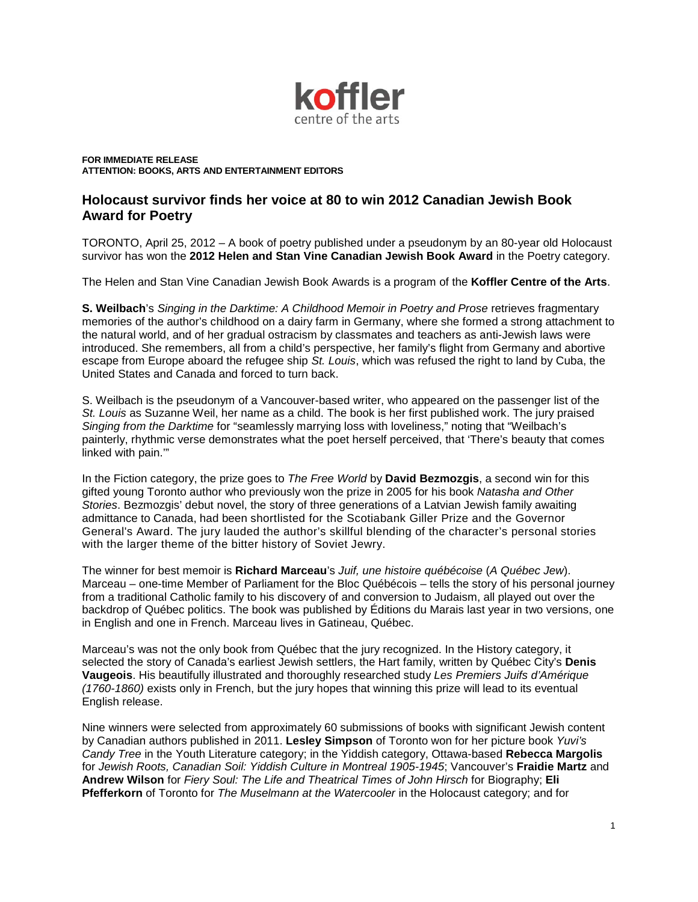

**FOR IMMEDIATE RELEASE ATTENTION: BOOKS, ARTS AND ENTERTAINMENT EDITORS**

# **Holocaust survivor finds her voice at 80 to win 2012 Canadian Jewish Book Award for Poetry**

TORONTO, April 25, 2012 – A book of poetry published under a pseudonym by an 80-year old Holocaust survivor has won the **2012 Helen and Stan Vine Canadian Jewish Book Award** in the Poetry category.

The Helen and Stan Vine Canadian Jewish Book Awards is a program of the **Koffler Centre of the Arts**.

**S. Weilbach**'s *Singing in the Darktime: A Childhood Memoir in Poetry and Prose* retrieves fragmentary memories of the author's childhood on a dairy farm in Germany, where she formed a strong attachment to the natural world, and of her gradual ostracism by classmates and teachers as anti-Jewish laws were introduced. She remembers, all from a child's perspective, her family's flight from Germany and abortive escape from Europe aboard the refugee ship *St. Louis*, which was refused the right to land by Cuba, the United States and Canada and forced to turn back.

S. Weilbach is the pseudonym of a Vancouver-based writer, who appeared on the passenger list of the *St. Louis* as Suzanne Weil, her name as a child. The book is her first published work. The jury praised *Singing from the Darktime* for "seamlessly marrying loss with loveliness," noting that "Weilbach's painterly, rhythmic verse demonstrates what the poet herself perceived, that 'There's beauty that comes linked with pain.'"

In the Fiction category, the prize goes to *The Free World* by **David Bezmozgis**, a second win for this gifted young Toronto author who previously won the prize in 2005 for his book *Natasha and Other Stories*. Bezmozgis' debut novel, the story of three generations of a Latvian Jewish family awaiting admittance to Canada, had been shortlisted for the Scotiabank Giller Prize and the Governor General's Award. The jury lauded the author's skillful blending of the character's personal stories with the larger theme of the bitter history of Soviet Jewry.

The winner for best memoir is **Richard Marceau**'s *Juif, une histoire québécoise* (*A Québec Jew*). Marceau – one-time Member of Parliament for the Bloc Québécois – tells the story of his personal journey from a traditional Catholic family to his discovery of and conversion to Judaism, all played out over the backdrop of Québec politics. The book was published by Éditions du Marais last year in two versions, one in English and one in French. Marceau lives in Gatineau, Québec.

Marceau's was not the only book from Québec that the jury recognized. In the History category, it selected the story of Canada's earliest Jewish settlers, the Hart family, written by Québec City's **Denis Vaugeois**. His beautifully illustrated and thoroughly researched study *Les Premiers Juifs d'Amérique (1760-1860)* exists only in French, but the jury hopes that winning this prize will lead to its eventual English release.

Nine winners were selected from approximately 60 submissions of books with significant Jewish content by Canadian authors published in 2011. **Lesley Simpson** of Toronto won for her picture book *Yuvi's Candy Tree* in the Youth Literature category; in the Yiddish category, Ottawa-based **Rebecca Margolis** for *Jewish Roots, Canadian Soil: Yiddish Culture in Montreal 1905-1945*; Vancouver's **Fraidie Martz** and **Andrew Wilson** for *Fiery Soul: The Life and Theatrical Times of John Hirsch* for Biography; **Eli Pfefferkorn** of Toronto for *The Muselmann at the Watercooler* in the Holocaust category; and for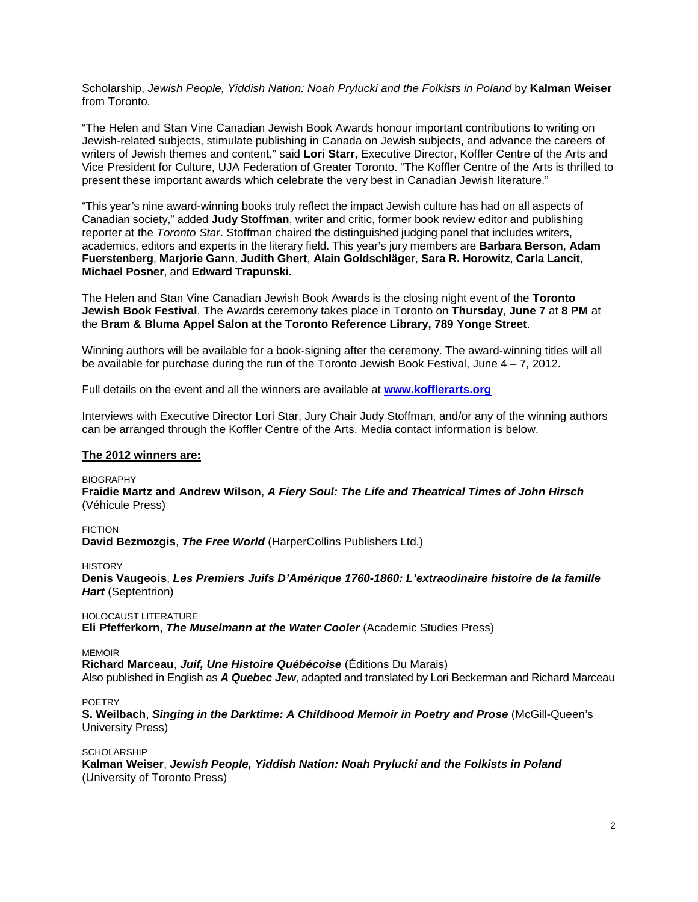Scholarship, *Jewish People, Yiddish Nation: Noah Prylucki and the Folkists in Poland* by **Kalman Weiser** from Toronto.

"The Helen and Stan Vine Canadian Jewish Book Awards honour important contributions to writing on Jewish-related subjects, stimulate publishing in Canada on Jewish subjects, and advance the careers of writers of Jewish themes and content," said **Lori Starr**, Executive Director, Koffler Centre of the Arts and Vice President for Culture, UJA Federation of Greater Toronto. "The Koffler Centre of the Arts is thrilled to present these important awards which celebrate the very best in Canadian Jewish literature."

"This year's nine award-winning books truly reflect the impact Jewish culture has had on all aspects of Canadian society," added **Judy Stoffman**, writer and critic, former book review editor and publishing reporter at the *Toronto Star*. Stoffman chaired the distinguished judging panel that includes writers, academics, editors and experts in the literary field. This year's jury members are **Barbara Berson**, **Adam Fuerstenberg**, **Marjorie Gann**, **Judith Ghert**, **Alain Goldschläger**, **Sara R. Horowitz**, **Carla Lancit**, **Michael Posner**, and **Edward Trapunski.**

The Helen and Stan Vine Canadian Jewish Book Awards is the closing night event of the **Toronto Jewish Book Festival**. The Awards ceremony takes place in Toronto on **Thursday, June 7** at **8 PM** at the **Bram & Bluma Appel Salon at the Toronto Reference Library, 789 Yonge Street**.

Winning authors will be available for a book-signing after the ceremony. The award-winning titles will all be available for purchase during the run of the Toronto Jewish Book Festival, June 4 – 7, 2012.

Full details on the event and all the winners are available at **[www.kofflerarts.org](http://www.kofflerarts.org/)**

Interviews with Executive Director Lori Star, Jury Chair Judy Stoffman, and/or any of the winning authors can be arranged through the Koffler Centre of the Arts. Media contact information is below.

#### **The 2012 winners are:**

**BIOGRAPHY** 

**Fraidie Martz and Andrew Wilson**, *A Fiery Soul: The Life and Theatrical Times of John Hirsch* (Véhicule Press)

FICTION

**David Bezmozgis**, *The Free World* (HarperCollins Publishers Ltd.)

**HISTORY** 

**Denis Vaugeois**, *Les Premiers Juifs D'Amérique 1760-1860: L'extraodinaire histoire de la famille Hart* (Septentrion)

HOLOCAUST LITERATURE

**Eli Pfefferkorn**, *The Muselmann at the Water Cooler* (Academic Studies Press)

MEMOIR

**Richard Marceau**, *Juif, Une Histoire Québécoise* (Éditions Du Marais) Also published in English as *A Quebec Jew*, adapted and translated by Lori Beckerman and Richard Marceau

POETRY

**S. Weilbach**, *Singing in the Darktime: A Childhood Memoir in Poetry and Prose* (McGill-Queen's University Press)

SCHOLARSHIP **Kalman Weiser**, *Jewish People, Yiddish Nation: Noah Prylucki and the Folkists in Poland* (University of Toronto Press)